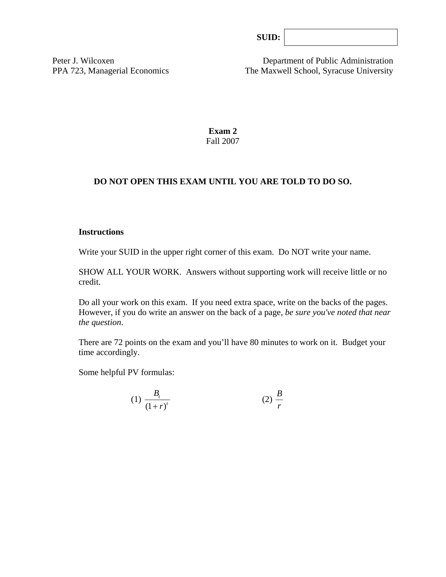| SUB: |  |
|------|--|
|      |  |

Peter J. Wilcoxen Department of Public Administration PPA 723, Managerial Economics The Maxwell School, Syracuse University

> **Exam 2**  Fall 2007

## **DO NOT OPEN THIS EXAM UNTIL YOU ARE TOLD TO DO SO.**

#### **Instructions**

Write your SUID in the upper right corner of this exam. Do NOT write your name.

SHOW ALL YOUR WORK. Answers without supporting work will receive little or no credit.

Do all your work on this exam. If you need extra space, write on the backs of the pages. However, if you do write an answer on the back of a page, *be sure you've noted that near the question*.

There are 72 points on the exam and you'll have 80 minutes to work on it. Budget your time accordingly.

Some helpful PV formulas:

$$
(1) \frac{B_t}{\left(1+r\right)^t} \tag{2} \frac{B}{r}
$$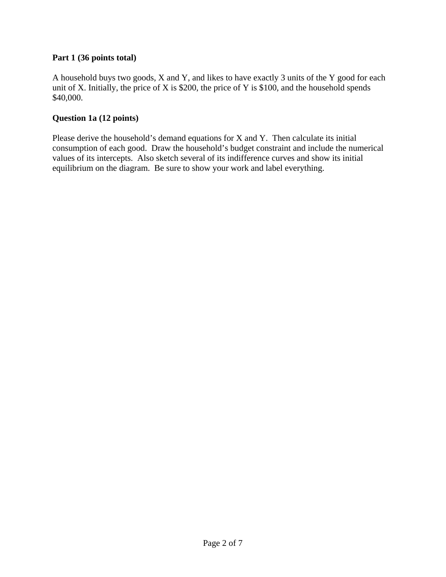## **Part 1 (36 points total)**

A household buys two goods, X and Y, and likes to have exactly 3 units of the Y good for each unit of X. Initially, the price of X is \$200, the price of Y is \$100, and the household spends \$40,000.

## **Question 1a (12 points)**

Please derive the household's demand equations for X and Y. Then calculate its initial consumption of each good. Draw the household's budget constraint and include the numerical values of its intercepts. Also sketch several of its indifference curves and show its initial equilibrium on the diagram. Be sure to show your work and label everything.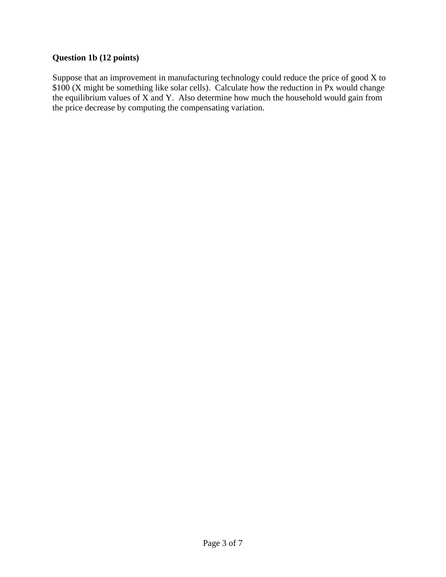# **Question 1b (12 points)**

Suppose that an improvement in manufacturing technology could reduce the price of good X to \$100 (X might be something like solar cells). Calculate how the reduction in Px would change the equilibrium values of X and Y. Also determine how much the household would gain from the price decrease by computing the compensating variation.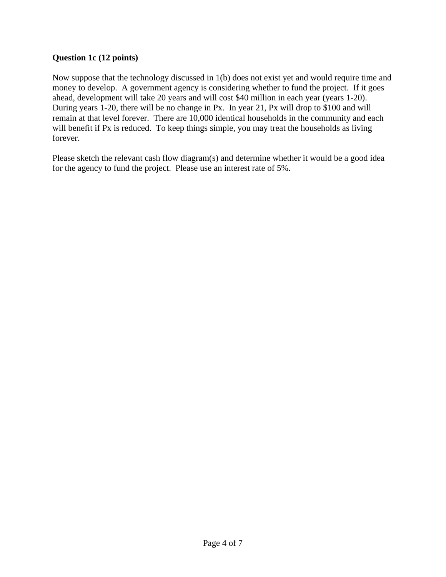## **Question 1c (12 points)**

Now suppose that the technology discussed in 1(b) does not exist yet and would require time and money to develop. A government agency is considering whether to fund the project. If it goes ahead, development will take 20 years and will cost \$40 million in each year (years 1-20). During years 1-20, there will be no change in Px. In year 21, Px will drop to \$100 and will remain at that level forever. There are 10,000 identical households in the community and each will benefit if Px is reduced. To keep things simple, you may treat the households as living forever.

Please sketch the relevant cash flow diagram(s) and determine whether it would be a good idea for the agency to fund the project. Please use an interest rate of 5%.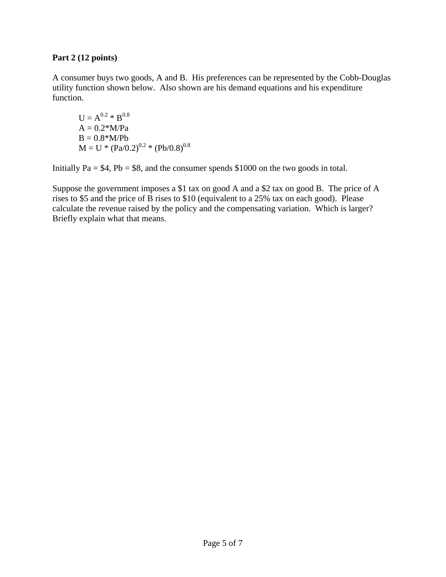## **Part 2 (12 points)**

A consumer buys two goods, A and B. His preferences can be represented by the Cobb-Douglas utility function shown below. Also shown are his demand equations and his expenditure function.

 $U = A^{0.2} * B^{0.8}$  $A = 0.2*M/Pa$  $B = 0.8 * M / Pb$  $M = U * (Pa/0.2)^{0.2} * (Pb/0.8)^{0.8}$ 

Initially  $Pa = $4$ ,  $Pb = $8$ , and the consumer spends \$1000 on the two goods in total.

Suppose the government imposes a \$1 tax on good A and a \$2 tax on good B. The price of A rises to \$5 and the price of B rises to \$10 (equivalent to a 25% tax on each good). Please calculate the revenue raised by the policy and the compensating variation. Which is larger? Briefly explain what that means.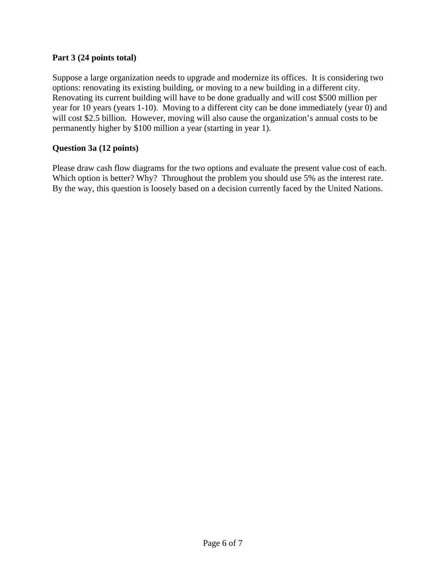## **Part 3 (24 points total)**

Suppose a large organization needs to upgrade and modernize its offices. It is considering two options: renovating its existing building, or moving to a new building in a different city. Renovating its current building will have to be done gradually and will cost \$500 million per year for 10 years (years 1-10). Moving to a different city can be done immediately (year 0) and will cost \$2.5 billion. However, moving will also cause the organization's annual costs to be permanently higher by \$100 million a year (starting in year 1).

## **Question 3a (12 points)**

Please draw cash flow diagrams for the two options and evaluate the present value cost of each. Which option is better? Why? Throughout the problem you should use 5% as the interest rate. By the way, this question is loosely based on a decision currently faced by the United Nations.